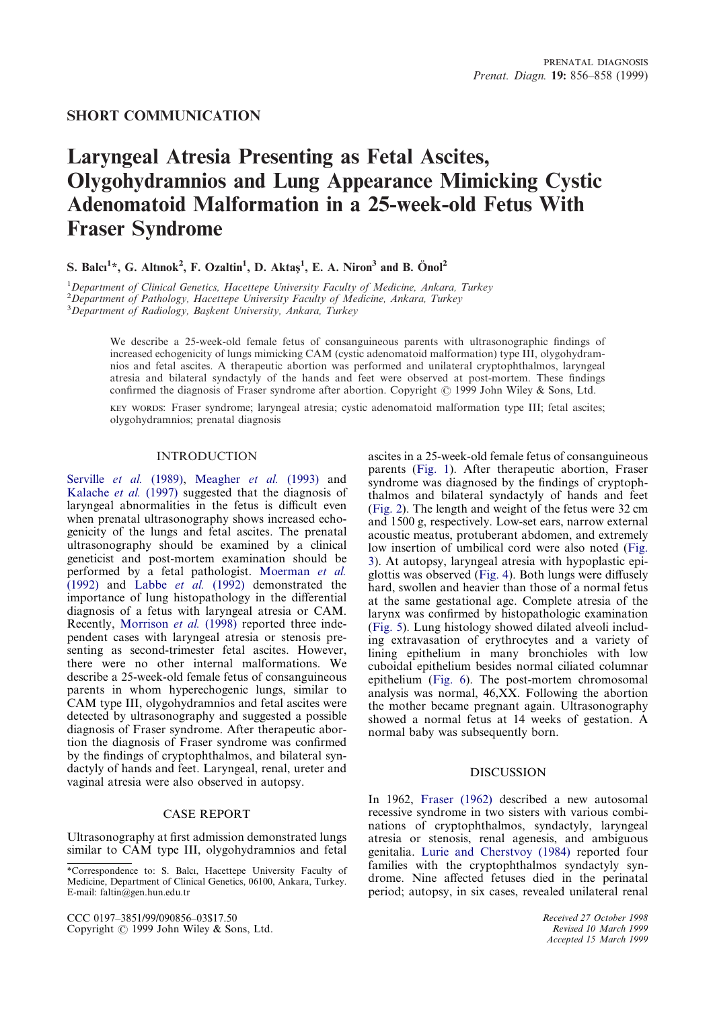### **SHORT COMMUNICATION**

# **Laryngeal Atresia Presenting as Fetal Ascites, Olygohydramnios and Lung Appearance Mimicking Cystic Adenomatoid Malformation in a 25-week-old Fetus With Fraser Syndrome**

## **S.** Balcı<sup>1\*</sup>, G. Altınok<sup>2</sup>, F. Ozaltin<sup>1</sup>, D. Aktaş<sup>1</sup>, E. A. Niron<sup>3</sup> and B. Önol<sup>2</sup>

1 *Department of Clinical Genetics, Hacettepe University Faculty of Medicine, Ankara, Turkey*

2 *Department of Pathology, Hacettepe University Faculty of Medicine, Ankara, Turkey*

<sup>3</sup>Department of Radiology, Başkent University, Ankara, Turkey

We describe a 25-week-old female fetus of consanguineous parents with ultrasonographic findings of increased echogenicity of lungs mimicking CAM (cystic adenomatoid malformation) type III, olygohydramnios and fetal ascites. A therapeutic abortion was performed and unilateral cryptophthalmos, laryngeal atresia and bilateral syndactyly of the hands and feet were observed at post-mortem. These findings confirmed the diagnosis of Fraser syndrome after abortion. Copyright  $\odot$  1999 John Wiley & Sons, Ltd.

 : Fraser syndrome; laryngeal atresia; cystic adenomatoid malformation type III; fetal ascites; olygohydramnios; prenatal diagnosis

#### INTRODUCTION

[Serville](#page-2-0) *et al.* (1989), [Meagher](#page-2-1) *et al.* (1993) and [Kalache](#page-2-2) *et al.* (1997) suggested that the diagnosis of laryngeal abnormalities in the fetus is difficult even when prenatal ultrasonography shows increased echogenicity of the lungs and fetal ascites. The prenatal ultrasonography should be examined by a clinical geneticist and post-mortem examination should be performed by a fetal pathologist. [Moerman](#page-2-3) *et al.* [\(1992\)](#page-2-3) and [Labbe](#page-2-4) *et al.* (1992) demonstrated the importance of lung histopathology in the differential diagnosis of a fetus with laryngeal atresia or CAM. Recently, [Morrison](#page-2-5) *et al.* (1998) reported three independent cases with laryngeal atresia or stenosis presenting as second-trimester fetal ascites. However, there were no other internal malformations. We describe a 25-week-old female fetus of consanguineous parents in whom hyperechogenic lungs, similar to CAM type III, olygohydramnios and fetal ascites were detected by ultrasonography and suggested a possible diagnosis of Fraser syndrome. After therapeutic abortion the diagnosis of Fraser syndrome was confirmed by the findings of cryptophthalmos, and bilateral syndactyly of hands and feet. Laryngeal, renal, ureter and vaginal atresia were also observed in autopsy.

#### CASE REPORT

Ultrasonography at first admission demonstrated lungs similar to CAM type III, olygohydramnios and fetal

CCC 0197–3851/99/090856–03\$17.50 Copyright  $\odot$  1999 John Wiley & Sons, Ltd. ascites in a 25-week-old female fetus of consanguineous parents [\(Fig. 1\)](#page-1-0). After therapeutic abortion, Fraser syndrome was diagnosed by the findings of cryptophthalmos and bilateral syndactyly of hands and feet [\(Fig. 2\)](#page-1-1). The length and weight of the fetus were 32 cm and 1500 g, respectively. Low-set ears, narrow external acoustic meatus, protuberant abdomen, and extremely low insertion of umbilical cord were also noted [\(Fig.](#page-1-2) [3\)](#page-1-2). At autopsy, laryngeal atresia with hypoplastic epiglottis was observed [\(Fig. 4\)](#page-1-3). Both lungs were diffusely hard, swollen and heavier than those of a normal fetus at the same gestational age. Complete atresia of the larynx was confirmed by histopathologic examination [\(Fig. 5\)](#page-2-6). Lung histology showed dilated alveoli including extravasation of erythrocytes and a variety of lining epithelium in many bronchioles with low cuboidal epithelium besides normal ciliated columnar epithelium [\(Fig. 6\)](#page-2-7). The post-mortem chromosomal analysis was normal, 46,XX. Following the abortion the mother became pregnant again. Ultrasonography showed a normal fetus at 14 weeks of gestation. A normal baby was subsequently born.

#### DISCUSSION

In 1962, [Fraser \(1962\)](#page-2-8) described a new autosomal recessive syndrome in two sisters with various combinations of cryptophthalmos, syndactyly, laryngeal atresia or stenosis, renal agenesis, and ambiguous genitalia. [Lurie and Cherstvoy \(1984\)](#page-2-9) reported four families with the cryptophthalmos syndactyly syndrome. Nine affected fetuses died in the perinatal period; autopsy, in six cases, revealed unilateral renal

> *Received 27 October 1998 Revised 10 March 1999 Accepted 15 March 1999*

<sup>\*</sup>Correspondence to: S. Balcı, Hacettepe University Faculty of Medicine, Department of Clinical Genetics, 06100, Ankara, Turkey. E-mail: faltin@gen.hun.edu.tr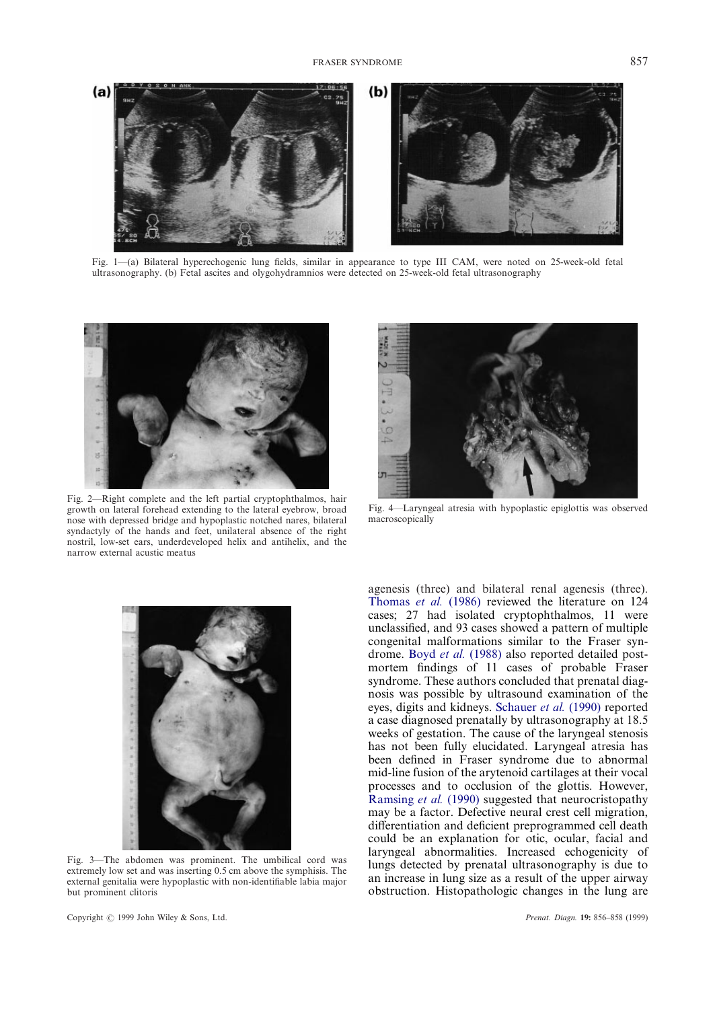<span id="page-1-0"></span>

Fig. 1—(a) Bilateral hyperechogenic lung fields, similar in appearance to type III CAM, were noted on 25-week-old fetal ultrasonography. (b) Fetal ascites and olygohydramnios were detected on 25-week-old fetal ultrasonography

<span id="page-1-1"></span>

Fig. 2—Right complete and the left partial cryptophthalmos, hair growth on lateral forehead extending to the lateral eyebrow, broad nose with depressed bridge and hypoplastic notched nares, bilateral syndactyly of the hands and feet, unilateral absence of the right nostril, low-set ears, underdeveloped helix and antihelix, and the narrow external acustic meatus

<span id="page-1-3"></span>

Fig. 4—Laryngeal atresia with hypoplastic epiglottis was observed macroscopically

agenesis (three) and bilateral renal agenesis (three).

<span id="page-1-2"></span>

Fig. 3—The abdomen was prominent. The umbilical cord was extremely low set and was inserting 0.5 cm above the symphisis. The external genitalia were hypoplastic with non-identifiable labia major but prominent clitoris

[Thomas](#page-2-10) *et al.* (1986) reviewed the literature on 124 cases; 27 had isolated cryptophthalmos, 11 were unclassified, and 93 cases showed a pattern of multiple congenital malformations similar to the Fraser syndrome. Boyd *et al.* [\(1988\)](#page-2-11) also reported detailed postmortem findings of 11 cases of probable Fraser syndrome. These authors concluded that prenatal diagnosis was possible by ultrasound examination of the eyes, digits and kidneys. [Schauer](#page-2-12) *et al.* (1990) reported a case diagnosed prenatally by ultrasonography at 18.5 weeks of gestation. The cause of the laryngeal stenosis has not been fully elucidated. Laryngeal atresia has been defined in Fraser syndrome due to abnormal mid-line fusion of the arytenoid cartilages at their vocal processes and to occlusion of the glottis. However, [Ramsing](#page-2-13) *et al.* (1990) suggested that neurocristopathy may be a factor. Defective neural crest cell migration, differentiation and deficient preprogrammed cell death could be an explanation for otic, ocular, facial and laryngeal abnormalities. Increased echogenicity of lungs detected by prenatal ultrasonography is due to an increase in lung size as a result of the upper airway obstruction. Histopathologic changes in the lung are